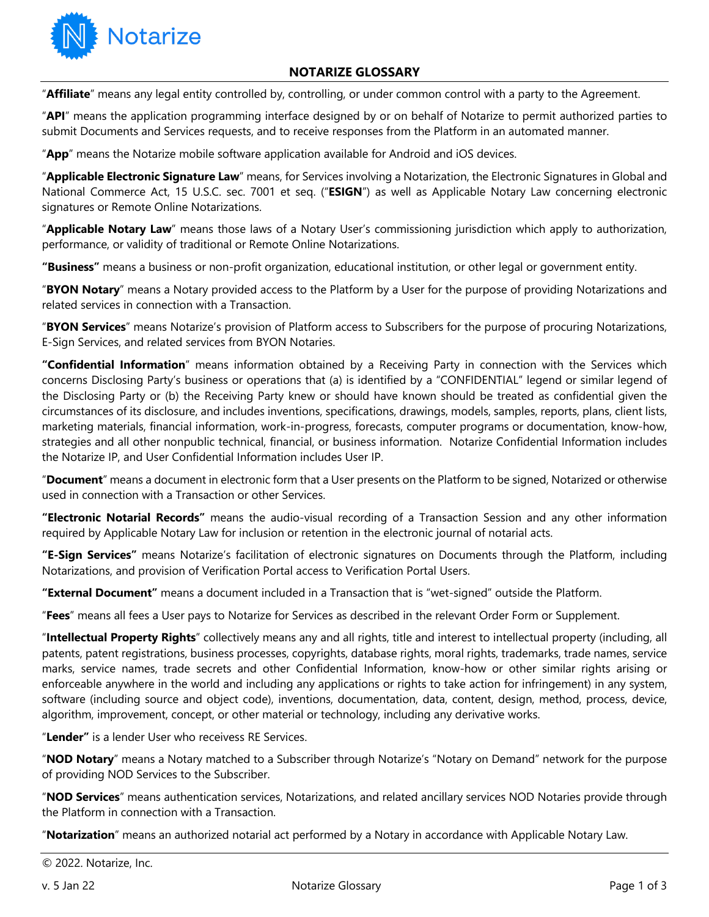

## **NOTARIZE GLOSSARY**

"**Affiliate**" means any legal entity controlled by, controlling, or under common control with a party to the Agreement.

"**API**" means the application programming interface designed by or on behalf of Notarize to permit authorized parties to submit Documents and Services requests, and to receive responses from the Platform in an automated manner.

"**App**" means the Notarize mobile software application available for Android and iOS devices.

"**Applicable Electronic Signature Law**" means, for Services involving a Notarization, the Electronic Signatures in Global and National Commerce Act, 15 U.S.C. sec. 7001 et seq. ("**ESIGN**") as well as Applicable Notary Law concerning electronic signatures or Remote Online Notarizations.

"**Applicable Notary Law**" means those laws of a Notary User's commissioning jurisdiction which apply to authorization, performance, or validity of traditional or Remote Online Notarizations.

**"Business"** means a business or non-profit organization, educational institution, or other legal or government entity.

"**BYON Notary**" means a Notary provided access to the Platform by a User for the purpose of providing Notarizations and related services in connection with a Transaction.

"**BYON Services**" means Notarize's provision of Platform access to Subscribers for the purpose of procuring Notarizations, E-Sign Services, and related services from BYON Notaries.

**"Confidential Information**" means information obtained by a Receiving Party in connection with the Services which concerns Disclosing Party's business or operations that (a) is identified by a "CONFIDENTIAL" legend or similar legend of the Disclosing Party or (b) the Receiving Party knew or should have known should be treated as confidential given the circumstances of its disclosure, and includes inventions, specifications, drawings, models, samples, reports, plans, client lists, marketing materials, financial information, work-in-progress, forecasts, computer programs or documentation, know-how, strategies and all other nonpublic technical, financial, or business information. Notarize Confidential Information includes the Notarize IP, and User Confidential Information includes User IP.

"**Document**" means a document in electronic form that a User presents on the Platform to be signed, Notarized or otherwise used in connection with a Transaction or other Services.

**"Electronic Notarial Records"** means the audio-visual recording of a Transaction Session and any other information required by Applicable Notary Law for inclusion or retention in the electronic journal of notarial acts.

**"E-Sign Services"** means Notarize's facilitation of electronic signatures on Documents through the Platform, including Notarizations, and provision of Verification Portal access to Verification Portal Users.

**"External Document"** means a document included in a Transaction that is "wet-signed" outside the Platform.

"**Fees**" means all fees a User pays to Notarize for Services as described in the relevant Order Form or Supplement.

"**Intellectual Property Rights**" collectively means any and all rights, title and interest to intellectual property (including, all patents, patent registrations, business processes, copyrights, database rights, moral rights, trademarks, trade names, service marks, service names, trade secrets and other Confidential Information, know-how or other similar rights arising or enforceable anywhere in the world and including any applications or rights to take action for infringement) in any system, software (including source and object code), inventions, documentation, data, content, design, method, process, device, algorithm, improvement, concept, or other material or technology, including any derivative works.

"**Lender"** is a lender User who receivess RE Services.

"**NOD Notary**" means a Notary matched to a Subscriber through Notarize's "Notary on Demand" network for the purpose of providing NOD Services to the Subscriber.

"**NOD Services**" means authentication services, Notarizations, and related ancillary services NOD Notaries provide through the Platform in connection with a Transaction.

"**Notarization**" means an authorized notarial act performed by a Notary in accordance with Applicable Notary Law.

© 2022. Notarize, Inc.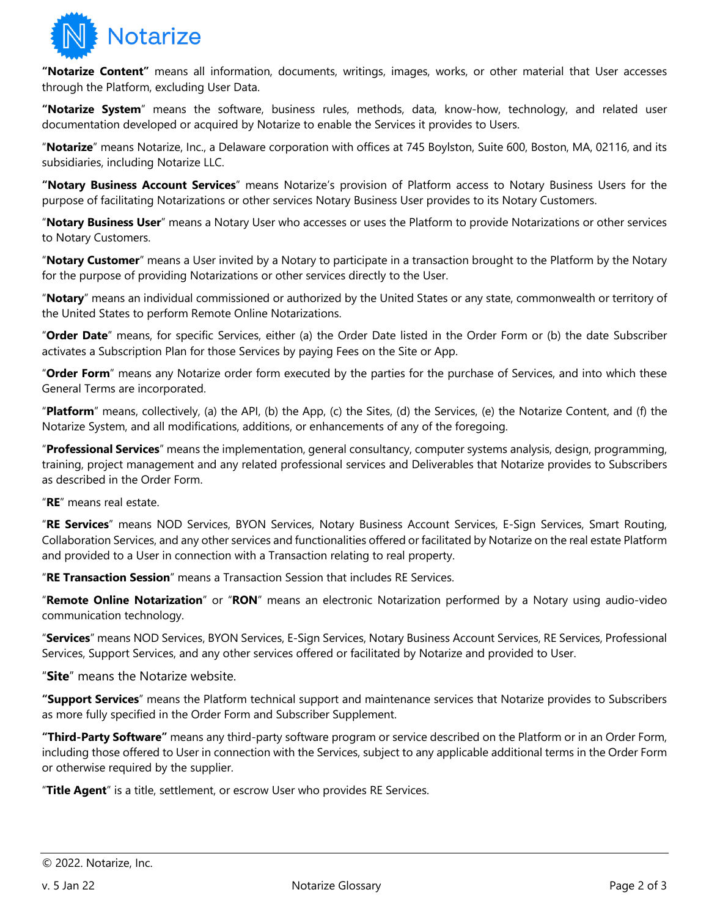

**"Notarize Content"** means all information, documents, writings, images, works, or other material that User accesses through the Platform, excluding User Data.

**"Notarize System**" means the software, business rules, methods, data, know-how, technology, and related user documentation developed or acquired by Notarize to enable the Services it provides to Users.

"**Notarize**" means Notarize, Inc., a Delaware corporation with offices at 745 Boylston, Suite 600, Boston, MA, 02116, and its subsidiaries, including Notarize LLC.

**"Notary Business Account Services**" means Notarize's provision of Platform access to Notary Business Users for the purpose of facilitating Notarizations or other services Notary Business User provides to its Notary Customers.

"**Notary Business User**" means a Notary User who accesses or uses the Platform to provide Notarizations or other services to Notary Customers.

"**Notary Customer**" means a User invited by a Notary to participate in a transaction brought to the Platform by the Notary for the purpose of providing Notarizations or other services directly to the User.

"**Notary**" means an individual commissioned or authorized by the United States or any state, commonwealth or territory of the United States to perform Remote Online Notarizations.

"**Order Date**" means, for specific Services, either (a) the Order Date listed in the Order Form or (b) the date Subscriber activates a Subscription Plan for those Services by paying Fees on the Site or App.

"**Order Form**" means any Notarize order form executed by the parties for the purchase of Services, and into which these General Terms are incorporated.

"**Platform**" means, collectively, (a) the API, (b) the App, (c) the Sites, (d) the Services, (e) the Notarize Content, and (f) the Notarize System, and all modifications, additions, or enhancements of any of the foregoing.

"**Professional Services**" means the implementation, general consultancy, computer systems analysis, design, programming, training, project management and any related professional services and Deliverables that Notarize provides to Subscribers as described in the Order Form.

"**RE**" means real estate.

"**RE Services**" means NOD Services, BYON Services, Notary Business Account Services, E-Sign Services, Smart Routing, Collaboration Services, and any other services and functionalities offered or facilitated by Notarize on the real estate Platform and provided to a User in connection with a Transaction relating to real property.

"**RE Transaction Session**" means a Transaction Session that includes RE Services.

"**Remote Online Notarization**" or "**RON**" means an electronic Notarization performed by a Notary using audio-video communication technology.

"**Services**" means NOD Services, BYON Services, E-Sign Services, Notary Business Account Services, RE Services, Professional Services, Support Services, and any other services offered or facilitated by Notarize and provided to User.

"**Site**" means the Notarize website.

**"Support Services**" means the Platform technical support and maintenance services that Notarize provides to Subscribers as more fully specified in the Order Form and Subscriber Supplement.

**"Third-Party Software"** means any third-party software program or service described on the Platform or in an Order Form, including those offered to User in connection with the Services, subject to any applicable additional terms in the Order Form or otherwise required by the supplier.

"**Title Agent**" is a title, settlement, or escrow User who provides RE Services.